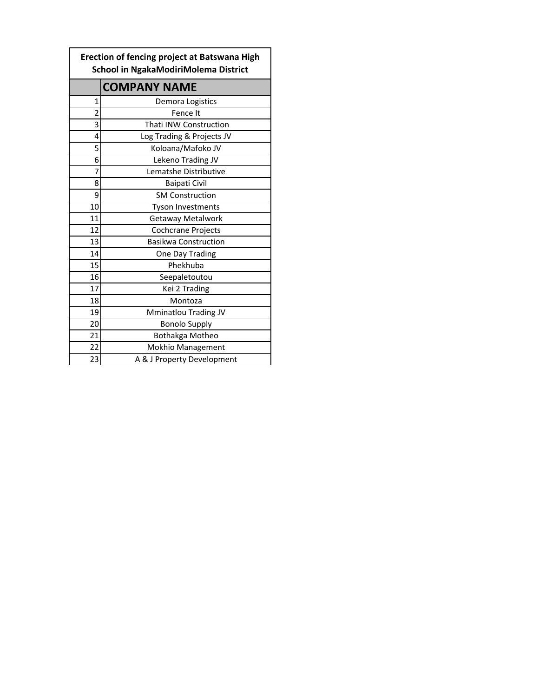| Erection of fencing project at Batswana High<br>School in NgakaModiriMolema District |                               |  |  |
|--------------------------------------------------------------------------------------|-------------------------------|--|--|
|                                                                                      | <b>COMPANY NAME</b>           |  |  |
| 1                                                                                    | Demora Logistics              |  |  |
| $\overline{2}$                                                                       | Fence It                      |  |  |
| 3                                                                                    | <b>Thati INW Construction</b> |  |  |
| 4                                                                                    | Log Trading & Projects JV     |  |  |
| 5                                                                                    | Koloana/Mafoko JV             |  |  |
| 6                                                                                    | Lekeno Trading JV             |  |  |
| 7                                                                                    | Lematshe Distributive         |  |  |
| 8                                                                                    | <b>Baipati Civil</b>          |  |  |
| 9                                                                                    | <b>SM Construction</b>        |  |  |
| 10                                                                                   | <b>Tyson Investments</b>      |  |  |
| 11                                                                                   | Getaway Metalwork             |  |  |
| 12                                                                                   | Cochcrane Projects            |  |  |
| 13                                                                                   | <b>Basikwa Construction</b>   |  |  |
| 14                                                                                   | One Day Trading               |  |  |
| 15                                                                                   | Phekhuba                      |  |  |
| 16                                                                                   | Seepaletoutou                 |  |  |
| 17                                                                                   | Kei 2 Trading                 |  |  |
| 18                                                                                   | Montoza                       |  |  |
| 19                                                                                   | Mminatlou Trading JV          |  |  |
| 20                                                                                   | <b>Bonolo Supply</b>          |  |  |
| 21                                                                                   | Bothakga Motheo               |  |  |
| 22                                                                                   | Mokhio Management             |  |  |
| 23                                                                                   | A & J Property Development    |  |  |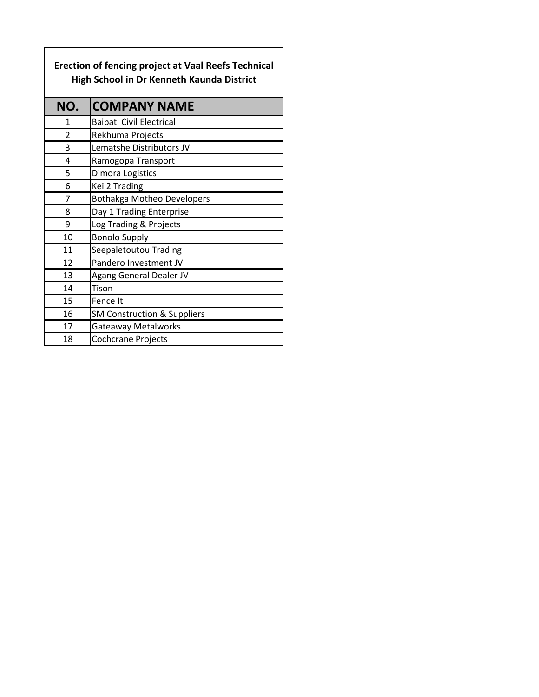| <b>Erection of fencing project at Vaal Reefs Technical</b><br><b>High School in Dr Kenneth Kaunda District</b> |                                        |  |  |
|----------------------------------------------------------------------------------------------------------------|----------------------------------------|--|--|
| NO.                                                                                                            | <b>COMPANY NAME</b>                    |  |  |
| 1                                                                                                              | <b>Baipati Civil Electrical</b>        |  |  |
| 2                                                                                                              | Rekhuma Projects                       |  |  |
| 3                                                                                                              | Lematshe Distributors JV               |  |  |
| 4                                                                                                              | Ramogopa Transport                     |  |  |
| 5                                                                                                              | Dimora Logistics                       |  |  |
| 6                                                                                                              | Kei 2 Trading                          |  |  |
| 7                                                                                                              | <b>Bothakga Motheo Developers</b>      |  |  |
| 8                                                                                                              | Day 1 Trading Enterprise               |  |  |
| 9                                                                                                              | Log Trading & Projects                 |  |  |
| 10                                                                                                             | <b>Bonolo Supply</b>                   |  |  |
| 11                                                                                                             | Seepaletoutou Trading                  |  |  |
| 12                                                                                                             | Pandero Investment JV                  |  |  |
| 13                                                                                                             | Agang General Dealer JV                |  |  |
| 14                                                                                                             | Tison                                  |  |  |
| 15                                                                                                             | Fence It                               |  |  |
| 16                                                                                                             | <b>SM Construction &amp; Suppliers</b> |  |  |
| 17                                                                                                             | <b>Gateaway Metalworks</b>             |  |  |
| 18                                                                                                             | Cochcrane Projects                     |  |  |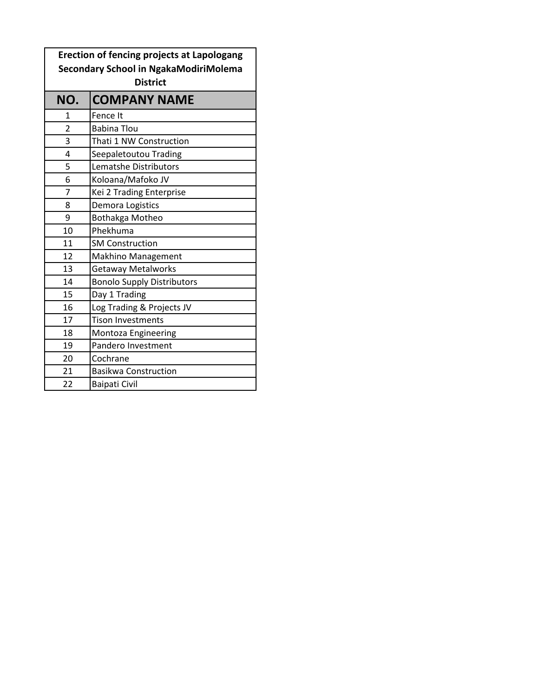| <b>Erection of fencing projects at Lapologang</b> |                                   |  |  |
|---------------------------------------------------|-----------------------------------|--|--|
| Secondary School in NgakaModiriMolema             |                                   |  |  |
| <b>District</b>                                   |                                   |  |  |
| NO.                                               | <b>COMPANY NAME</b>               |  |  |
| 1                                                 | Fence It                          |  |  |
| 2                                                 | <b>Babina Tlou</b>                |  |  |
| 3                                                 | Thati 1 NW Construction           |  |  |
| 4                                                 | Seepaletoutou Trading             |  |  |
| 5                                                 | Lematshe Distributors             |  |  |
| 6                                                 | Koloana/Mafoko JV                 |  |  |
| 7                                                 | Kei 2 Trading Enterprise          |  |  |
| 8                                                 | Demora Logistics                  |  |  |
| 9                                                 | Bothakga Motheo                   |  |  |
| 10                                                | Phekhuma                          |  |  |
| 11                                                | <b>SM Construction</b>            |  |  |
| 12                                                | <b>Makhino Management</b>         |  |  |
| 13                                                | <b>Getaway Metalworks</b>         |  |  |
| 14                                                | <b>Bonolo Supply Distributors</b> |  |  |
| 15                                                | Day 1 Trading                     |  |  |
| 16                                                | Log Trading & Projects JV         |  |  |
| 17                                                | <b>Tison Investments</b>          |  |  |
| 18                                                | Montoza Engineering               |  |  |
| 19                                                | Pandero Investment                |  |  |
| 20                                                | Cochrane                          |  |  |
| 21                                                | <b>Basikwa Construction</b>       |  |  |
| 22                                                | <b>Baipati Civil</b>              |  |  |